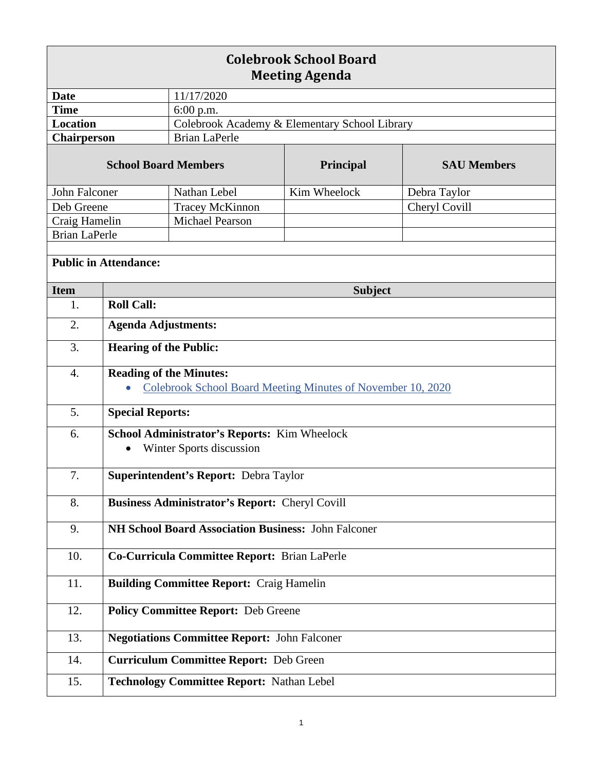| <b>Colebrook School Board</b><br><b>Meeting Agenda</b> |                                                                                               |                                               |                  |                    |  |
|--------------------------------------------------------|-----------------------------------------------------------------------------------------------|-----------------------------------------------|------------------|--------------------|--|
| <b>Date</b>                                            |                                                                                               | 11/17/2020                                    |                  |                    |  |
| <b>Time</b>                                            |                                                                                               | 6:00 p.m.                                     |                  |                    |  |
| <b>Location</b>                                        |                                                                                               | Colebrook Academy & Elementary School Library |                  |                    |  |
| Chairperson                                            |                                                                                               | <b>Brian LaPerle</b>                          |                  |                    |  |
| <b>School Board Members</b>                            |                                                                                               |                                               | <b>Principal</b> | <b>SAU Members</b> |  |
| John Falconer                                          |                                                                                               | Nathan Lebel                                  | Kim Wheelock     | Debra Taylor       |  |
| Deb Greene                                             |                                                                                               | Tracey McKinnon                               |                  | Cheryl Covill      |  |
| Craig Hamelin                                          |                                                                                               | <b>Michael Pearson</b>                        |                  |                    |  |
| <b>Brian LaPerle</b>                                   |                                                                                               |                                               |                  |                    |  |
| <b>Public in Attendance:</b>                           |                                                                                               |                                               |                  |                    |  |
| <b>Item</b>                                            |                                                                                               | <b>Subject</b>                                |                  |                    |  |
| 1.                                                     | <b>Roll Call:</b>                                                                             |                                               |                  |                    |  |
| 2.                                                     | <b>Agenda Adjustments:</b>                                                                    |                                               |                  |                    |  |
| 3.                                                     | <b>Hearing of the Public:</b>                                                                 |                                               |                  |                    |  |
| $\overline{4}$ .                                       | <b>Reading of the Minutes:</b><br>Colebrook School Board Meeting Minutes of November 10, 2020 |                                               |                  |                    |  |
| 5.                                                     | <b>Special Reports:</b>                                                                       |                                               |                  |                    |  |
| 6.                                                     | School Administrator's Reports: Kim Wheelock<br>Winter Sports discussion                      |                                               |                  |                    |  |
| 7.                                                     | Superintendent's Report: Debra Taylor                                                         |                                               |                  |                    |  |
| 8.                                                     | <b>Business Administrator's Report: Cheryl Covill</b>                                         |                                               |                  |                    |  |
| 9.                                                     | NH School Board Association Business: John Falconer                                           |                                               |                  |                    |  |
| 10.                                                    | Co-Curricula Committee Report: Brian LaPerle                                                  |                                               |                  |                    |  |
| 11.                                                    | <b>Building Committee Report: Craig Hamelin</b>                                               |                                               |                  |                    |  |
| 12.                                                    | <b>Policy Committee Report: Deb Greene</b>                                                    |                                               |                  |                    |  |
| 13.                                                    | <b>Negotiations Committee Report: John Falconer</b>                                           |                                               |                  |                    |  |
| 14.                                                    | <b>Curriculum Committee Report: Deb Green</b>                                                 |                                               |                  |                    |  |
| 15.                                                    | <b>Technology Committee Report: Nathan Lebel</b>                                              |                                               |                  |                    |  |